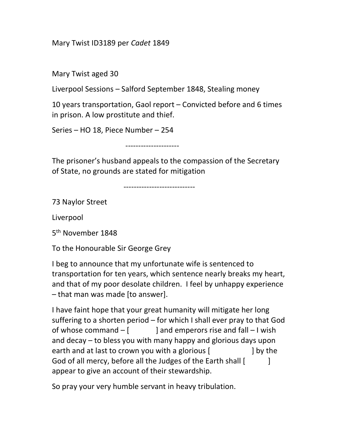Mary Twist ID3189 per Cadet 1849

Mary Twist aged 30

Liverpool Sessions – Salford September 1848, Stealing money

10 years transportation, Gaol report – Convicted before and 6 times in prison. A low prostitute and thief.

Series – HO 18, Piece Number – 254

---------------------

The prisoner's husband appeals to the compassion of the Secretary of State, no grounds are stated for mitigation

----------------------------

73 Naylor Street

Liverpool

5<sup>th</sup> November 1848

To the Honourable Sir George Grey

I beg to announce that my unfortunate wife is sentenced to transportation for ten years, which sentence nearly breaks my heart, and that of my poor desolate children. I feel by unhappy experience – that man was made [to answer].

I have faint hope that your great humanity will mitigate her long suffering to a shorten period – for which I shall ever pray to that God of whose command  $\lceil$   $\rceil$  and emperors rise and fall  $-$  I wish and decay – to bless you with many happy and glorious days upon earth and at last to crown you with a glorious [  $\qquad$  ] by the God of all mercy, before all the Judges of the Earth shall [ appear to give an account of their stewardship.

So pray your very humble servant in heavy tribulation.